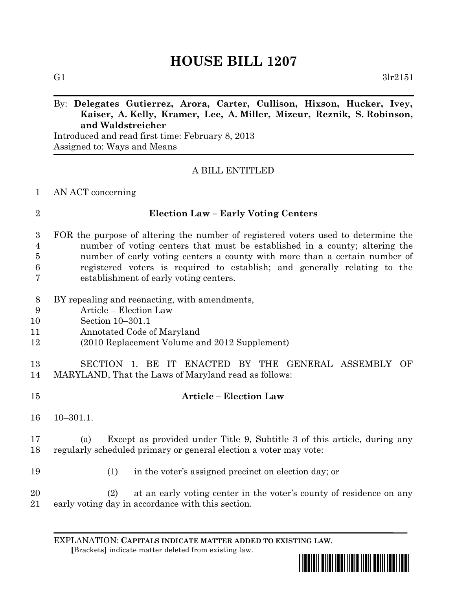# **HOUSE BILL 1207**

# By: **Delegates Gutierrez, Arora, Carter, Cullison, Hixson, Hucker, Ivey, Kaiser, A. Kelly, Kramer, Lee, A. Miller, Mizeur, Reznik, S. Robinson, and Waldstreicher**

Introduced and read first time: February 8, 2013 Assigned to: Ways and Means

## A BILL ENTITLED

#### AN ACT concerning

| I      |
|--------|
| I<br>ł |
|        |

#### **Election Law – Early Voting Centers**

## FOR the purpose of altering the number of registered voters used to determine the number of voting centers that must be established in a county; altering the number of early voting centers a county with more than a certain number of registered voters is required to establish; and generally relating to the establishment of early voting centers.

- BY repealing and reenacting, with amendments,
- Article Election Law
- Section 10–301.1
- Annotated Code of Maryland
- (2010 Replacement Volume and 2012 Supplement)

# SECTION 1. BE IT ENACTED BY THE GENERAL ASSEMBLY OF MARYLAND, That the Laws of Maryland read as follows:

 **Article – Election Law** 10–301.1.

# (a) Except as provided under Title 9, Subtitle 3 of this article, during any regularly scheduled primary or general election a voter may vote:

- (1) in the voter's assigned precinct on election day; or
- (2) at an early voting center in the voter's county of residence on any early voting day in accordance with this section.

EXPLANATION: **CAPITALS INDICATE MATTER ADDED TO EXISTING LAW**.  **[**Brackets**]** indicate matter deleted from existing law.

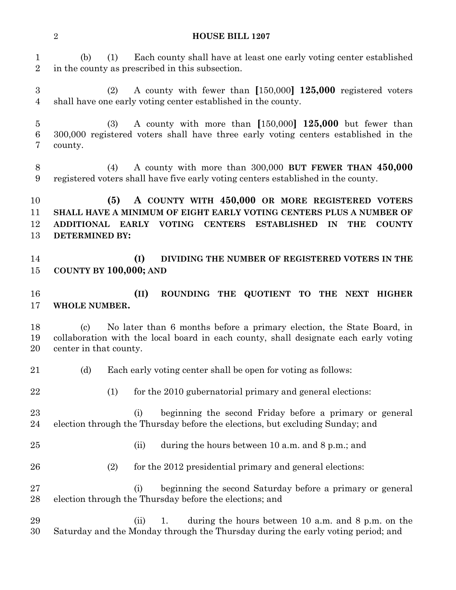#### **HOUSE BILL 1207**

 (b) (1) Each county shall have at least one early voting center established in the county as prescribed in this subsection. (2) A county with fewer than **[**150,000**] 125,000** registered voters shall have one early voting center established in the county. (3) A county with more than **[**150,000**] 125,000** but fewer than 300,000 registered voters shall have three early voting centers established in the county. (4) A county with more than 300,000 **BUT FEWER THAN 450,000** registered voters shall have five early voting centers established in the county. **(5) A COUNTY WITH 450,000 OR MORE REGISTERED VOTERS SHALL HAVE A MINIMUM OF EIGHT EARLY VOTING CENTERS PLUS A NUMBER OF ADDITIONAL EARLY VOTING CENTERS ESTABLISHED IN THE COUNTY DETERMINED BY: (I) DIVIDING THE NUMBER OF REGISTERED VOTERS IN THE COUNTY BY 100,000; AND (II) ROUNDING THE QUOTIENT TO THE NEXT HIGHER WHOLE NUMBER.**  (c) No later than 6 months before a primary election, the State Board, in collaboration with the local board in each county, shall designate each early voting center in that county. (d) Each early voting center shall be open for voting as follows: 22 (1) for the 2010 gubernatorial primary and general elections: (i) beginning the second Friday before a primary or general election through the Thursday before the elections, but excluding Sunday; and (ii) during the hours between 10 a.m. and 8 p.m.; and (2) for the 2012 presidential primary and general elections: (i) beginning the second Saturday before a primary or general election through the Thursday before the elections; and (ii) 1. during the hours between 10 a.m. and 8 p.m. on the Saturday and the Monday through the Thursday during the early voting period; and